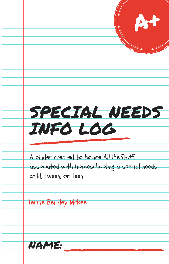|                                                                         | At |
|-------------------------------------------------------------------------|----|
|                                                                         |    |
|                                                                         |    |
| SPECIAL NEEDS                                                           |    |
| INFO LOG                                                                |    |
| A binder created to house All. The Stuff.                               |    |
| associated with homeschooling a special needs.<br>child, tween, or teen |    |
| Terrie Bentley McKee                                                    |    |
|                                                                         |    |
|                                                                         |    |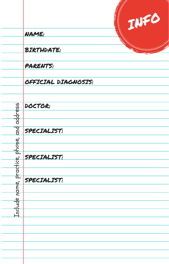|           | INFO                |  |
|-----------|---------------------|--|
|           | NAME:               |  |
|           | <b>BIRTHDATE:</b>   |  |
|           | <b>PARENTS:</b>     |  |
|           | OFFICIAL DIAGNOSIS: |  |
|           | DOCTOR:             |  |
| address   |                     |  |
| and       | SPECIALIST:         |  |
| phone,    |                     |  |
|           | <b>SPECIALIST:</b>  |  |
| practice, |                     |  |
| hame,     | SPECIALIST:         |  |
|           |                     |  |
| Include   |                     |  |
|           |                     |  |
|           |                     |  |
|           |                     |  |
|           |                     |  |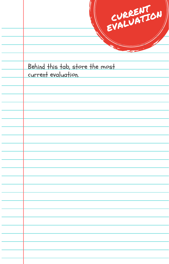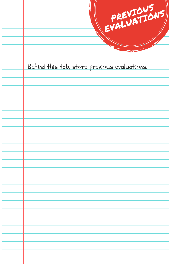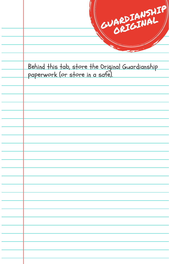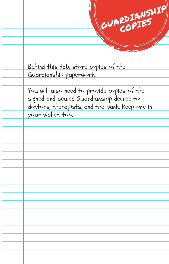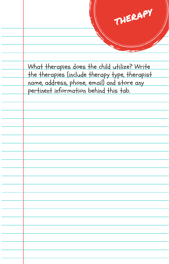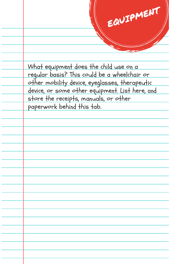EQUIPMENT What equipment does the child use on a regular basis? This could be a wheelchair or other mobility device, eyeglasses, therapeutic device, or some other equipment. List here, and store the receipts, manuals, or other paperwork behind this tab.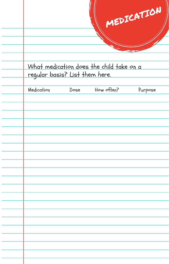|                                |      | What medication does the child take on a | MEDICATION |
|--------------------------------|------|------------------------------------------|------------|
| regular basis? List them here. |      |                                          |            |
| Medication                     | Dose | How often?                               | Purpose    |
|                                |      |                                          |            |
|                                |      |                                          |            |
|                                |      |                                          |            |
|                                |      |                                          |            |
|                                |      |                                          |            |
|                                |      |                                          |            |
|                                |      |                                          |            |
|                                |      |                                          |            |
|                                |      |                                          |            |
|                                |      |                                          |            |
|                                |      |                                          |            |
|                                |      |                                          |            |
|                                |      |                                          |            |
|                                |      |                                          |            |
|                                |      |                                          |            |
|                                |      |                                          |            |
|                                |      |                                          |            |
|                                |      |                                          |            |
|                                |      |                                          |            |
|                                |      |                                          |            |
|                                |      |                                          |            |